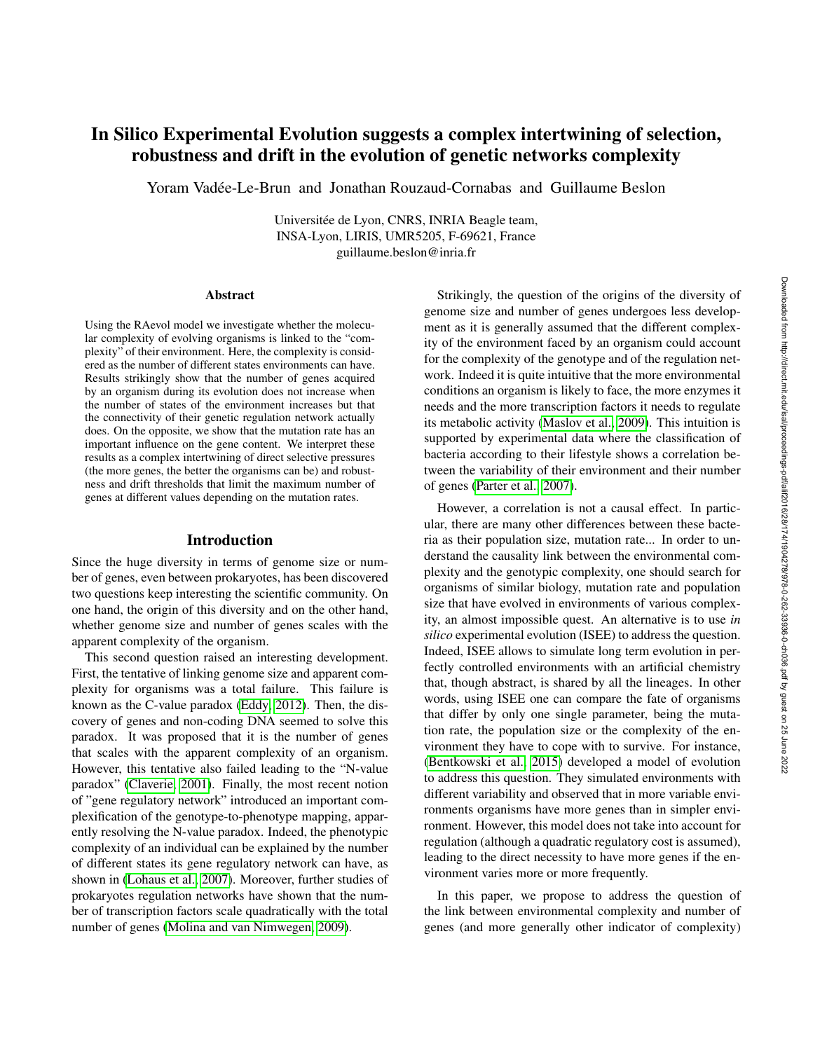# In Silico Experimental Evolution suggests a complex intertwining of selection, robustness and drift in the evolution of genetic networks complexity

Yoram Vadee-Le-Brun and Jonathan Rouzaud-Cornabas and Guillaume Beslon ´

Universitée de Lyon, CNRS, INRIA Beagle team, INSA-Lyon, LIRIS, UMR5205, F-69621, France guillaume.beslon@inria.fr

#### Abstract

Using the RAevol model we investigate whether the molecular complexity of evolving organisms is linked to the "complexity" of their environment. Here, the complexity is considered as the number of different states environments can have. Results strikingly show that the number of genes acquired by an organism during its evolution does not increase when the number of states of the environment increases but that the connectivity of their genetic regulation network actually does. On the opposite, we show that the mutation rate has an important influence on the gene content. We interpret these results as a complex intertwining of direct selective pressures (the more genes, the better the organisms can be) and robustness and drift thresholds that limit the maximum number of genes at different values depending on the mutation rates.

## Introduction

Since the huge diversity in terms of genome size or number of genes, even between prokaryotes, has been discovered two questions keep interesting the scientific community. On one hand, the origin of this diversity and on the other hand, whether genome size and number of genes scales with the apparent complexity of the organism.

This second question raised an interesting development. First, the tentative of linking genome size and apparent complexity for organisms was a total failure. This failure is known as the C-value paradox [\(Eddy, 2012\)](#page-7-0). Then, the discovery of genes and non-coding DNA seemed to solve this paradox. It was proposed that it is the number of genes that scales with the apparent complexity of an organism. However, this tentative also failed leading to the "N-value paradox" [\(Claverie, 2001\)](#page-7-1). Finally, the most recent notion of "gene regulatory network" introduced an important complexification of the genotype-to-phenotype mapping, apparently resolving the N-value paradox. Indeed, the phenotypic complexity of an individual can be explained by the number of different states its gene regulatory network can have, as shown in [\(Lohaus et al., 2007\)](#page-7-2). Moreover, further studies of prokaryotes regulation networks have shown that the number of transcription factors scale quadratically with the total number of genes [\(Molina and van Nimwegen, 2009\)](#page-7-3).

Strikingly, the question of the origins of the diversity of genome size and number of genes undergoes less development as it is generally assumed that the different complexity of the environment faced by an organism could account for the complexity of the genotype and of the regulation network. Indeed it is quite intuitive that the more environmental conditions an organism is likely to face, the more enzymes it needs and the more transcription factors it needs to regulate its metabolic activity [\(Maslov et al., 2009\)](#page-7-4). This intuition is supported by experimental data where the classification of bacteria according to their lifestyle shows a correlation between the variability of their environment and their number of genes [\(Parter et al., 2007\)](#page-7-5).

However, a correlation is not a causal effect. In particular, there are many other differences between these bacteria as their population size, mutation rate... In order to understand the causality link between the environmental complexity and the genotypic complexity, one should search for organisms of similar biology, mutation rate and population size that have evolved in environments of various complexity, an almost impossible quest. An alternative is to use *in silico* experimental evolution (ISEE) to address the question. Indeed, ISEE allows to simulate long term evolution in perfectly controlled environments with an artificial chemistry that, though abstract, is shared by all the lineages. In other words, using ISEE one can compare the fate of organisms that differ by only one single parameter, being the mutation rate, the population size or the complexity of the environment they have to cope with to survive. For instance, [\(Bentkowski et al., 2015\)](#page-7-6) developed a model of evolution to address this question. They simulated environments with different variability and observed that in more variable environments organisms have more genes than in simpler environment. However, this model does not take into account for regulation (although a quadratic regulatory cost is assumed), leading to the direct necessity to have more genes if the environment varies more or more frequently.

In this paper, we propose to address the question of the link between environmental complexity and number of genes (and more generally other indicator of complexity)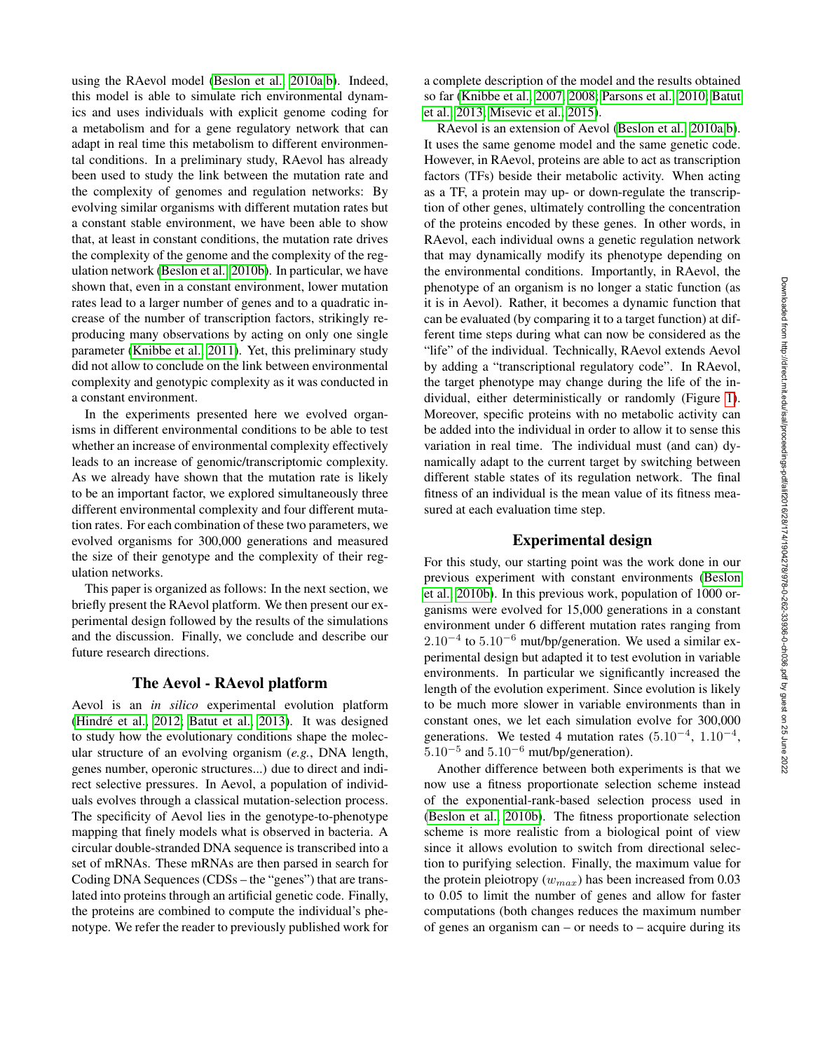using the RAevol model [\(Beslon et al., 2010a,](#page-7-7)[b\)](#page-7-8). Indeed, this model is able to simulate rich environmental dynamics and uses individuals with explicit genome coding for a metabolism and for a gene regulatory network that can adapt in real time this metabolism to different environmental conditions. In a preliminary study, RAevol has already been used to study the link between the mutation rate and the complexity of genomes and regulation networks: By evolving similar organisms with different mutation rates but a constant stable environment, we have been able to show that, at least in constant conditions, the mutation rate drives the complexity of the genome and the complexity of the regulation network [\(Beslon et al., 2010b\)](#page-7-8). In particular, we have shown that, even in a constant environment, lower mutation rates lead to a larger number of genes and to a quadratic increase of the number of transcription factors, strikingly reproducing many observations by acting on only one single parameter [\(Knibbe et al., 2011\)](#page-7-9). Yet, this preliminary study did not allow to conclude on the link between environmental complexity and genotypic complexity as it was conducted in a constant environment.

In the experiments presented here we evolved organisms in different environmental conditions to be able to test whether an increase of environmental complexity effectively leads to an increase of genomic/transcriptomic complexity. As we already have shown that the mutation rate is likely to be an important factor, we explored simultaneously three different environmental complexity and four different mutation rates. For each combination of these two parameters, we evolved organisms for 300,000 generations and measured the size of their genotype and the complexity of their regulation networks.

This paper is organized as follows: In the next section, we briefly present the RAevol platform. We then present our experimental design followed by the results of the simulations and the discussion. Finally, we conclude and describe our future research directions.

### The Aevol - RAevol platform

Aevol is an *in silico* experimental evolution platform (Hindré et al., 2012; [Batut et al., 2013\)](#page-6-0). It was designed to study how the evolutionary conditions shape the molecular structure of an evolving organism (*e.g.*, DNA length, genes number, operonic structures...) due to direct and indirect selective pressures. In Aevol, a population of individuals evolves through a classical mutation-selection process. The specificity of Aevol lies in the genotype-to-phenotype mapping that finely models what is observed in bacteria. A circular double-stranded DNA sequence is transcribed into a set of mRNAs. These mRNAs are then parsed in search for Coding DNA Sequences (CDSs – the "genes") that are translated into proteins through an artificial genetic code. Finally, the proteins are combined to compute the individual's phenotype. We refer the reader to previously published work for

a complete description of the model and the results obtained so far [\(Knibbe et al., 2007,](#page-7-11) [2008;](#page-7-12) [Parsons et al., 2010;](#page-7-13) [Batut](#page-6-0) [et al., 2013;](#page-6-0) [Misevic et al., 2015\)](#page-7-14).

RAevol is an extension of Aevol [\(Beslon et al., 2010a,](#page-7-7)[b\)](#page-7-8). It uses the same genome model and the same genetic code. However, in RAevol, proteins are able to act as transcription factors (TFs) beside their metabolic activity. When acting as a TF, a protein may up- or down-regulate the transcription of other genes, ultimately controlling the concentration of the proteins encoded by these genes. In other words, in RAevol, each individual owns a genetic regulation network that may dynamically modify its phenotype depending on the environmental conditions. Importantly, in RAevol, the phenotype of an organism is no longer a static function (as it is in Aevol). Rather, it becomes a dynamic function that can be evaluated (by comparing it to a target function) at different time steps during what can now be considered as the "life" of the individual. Technically, RAevol extends Aevol by adding a "transcriptional regulatory code". In RAevol, the target phenotype may change during the life of the individual, either deterministically or randomly (Figure [1\)](#page-2-0). Moreover, specific proteins with no metabolic activity can be added into the individual in order to allow it to sense this variation in real time. The individual must (and can) dynamically adapt to the current target by switching between different stable states of its regulation network. The final fitness of an individual is the mean value of its fitness measured at each evaluation time step.

## Experimental design

For this study, our starting point was the work done in our previous experiment with constant environments [\(Beslon](#page-7-8) [et al., 2010b\)](#page-7-8). In this previous work, population of 1000 organisms were evolved for 15,000 generations in a constant environment under 6 different mutation rates ranging from  $2.10^{-4}$  to  $5.10^{-6}$  mut/bp/generation. We used a similar experimental design but adapted it to test evolution in variable environments. In particular we significantly increased the length of the evolution experiment. Since evolution is likely to be much more slower in variable environments than in constant ones, we let each simulation evolve for 300,000 generations. We tested 4 mutation rates  $(5.10^{-4}, 1.10^{-4},$  $5.10^{-5}$  and  $5.10^{-6}$  mut/bp/generation).

Another difference between both experiments is that we now use a fitness proportionate selection scheme instead of the exponential-rank-based selection process used in [\(Beslon et al., 2010b\)](#page-7-8). The fitness proportionate selection scheme is more realistic from a biological point of view since it allows evolution to switch from directional selection to purifying selection. Finally, the maximum value for the protein pleiotropy  $(w_{max})$  has been increased from 0.03 to 0.05 to limit the number of genes and allow for faster computations (both changes reduces the maximum number of genes an organism can – or needs to – acquire during its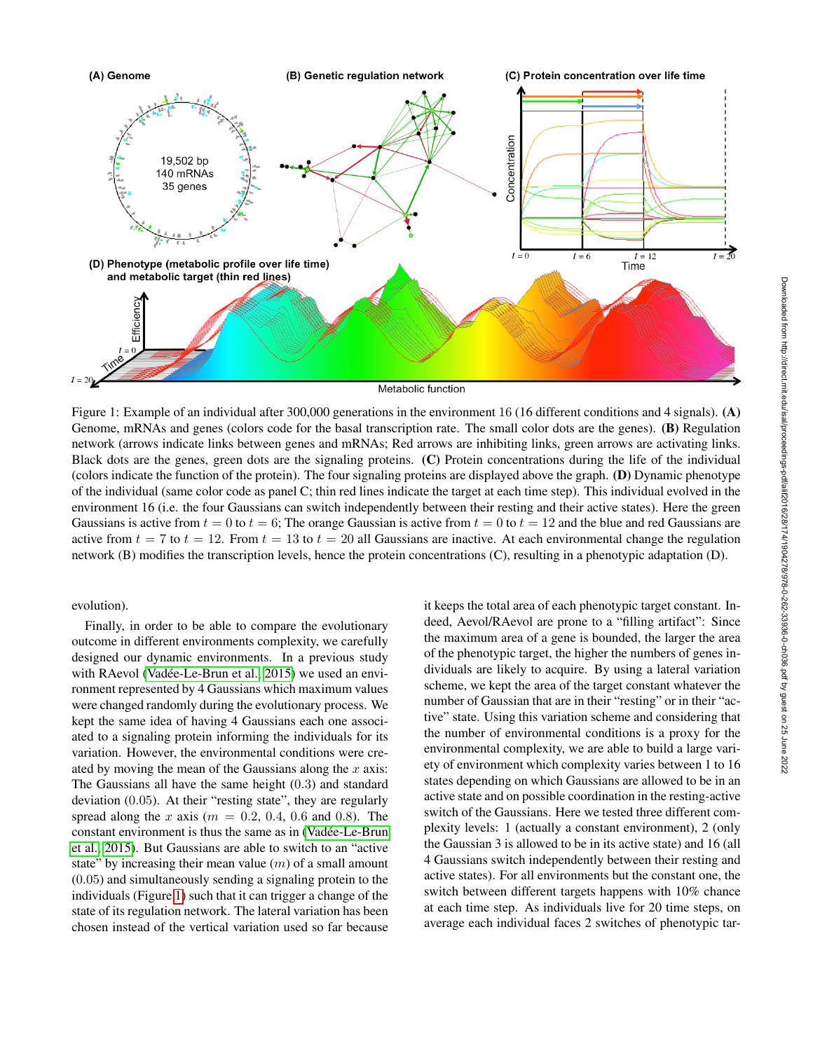<span id="page-2-0"></span>

Figure 1: Example of an individual after 300,000 generations in the environment 16 (16 different conditions and 4 signals). (A) Genome, mRNAs and genes (colors code for the basal transcription rate. The small color dots are the genes). (B) Regulation network (arrows indicate links between genes and mRNAs; Red arrows are inhibiting links, green arrows are activating links. Black dots are the genes, green dots are the signaling proteins. (C) Protein concentrations during the life of the individual (colors indicate the function of the protein). The four signaling proteins are displayed above the graph. (D) Dynamic phenotype of the individual (same color code as panel C; thin red lines indicate the target at each time step). This individual evolved in the environment 16 (i.e. the four Gaussians can switch independently between their resting and their active states). Here the green Gaussians is active from  $t = 0$  to  $t = 6$ ; The orange Gaussian is active from  $t = 0$  to  $t = 12$  and the blue and red Gaussians are active from  $t = 7$  to  $t = 12$ . From  $t = 13$  to  $t = 20$  all Gaussians are inactive. At each environmental change the regulation network (B) modifies the transcription levels, hence the protein concentrations (C), resulting in a phenotypic adaptation (D).

## evolution).

Finally, in order to be able to compare the evolutionary outcome in different environments complexity, we carefully designed our dynamic environments. In a previous study with RAevol (Vadée-Le-Brun et al., 2015) we used an environment represented by 4 Gaussians which maximum values were changed randomly during the evolutionary process. We kept the same idea of having 4 Gaussians each one associated to a signaling protein informing the individuals for its variation. However, the environmental conditions were created by moving the mean of the Gaussians along the  $x$  axis: The Gaussians all have the same height (0.3) and standard deviation (0.05). At their "resting state", they are regularly spread along the x axis ( $m = 0.2, 0.4, 0.6$  and 0.8). The constant environment is thus the same as in [\(Vadee-Le-Brun](#page-7-15) ´ [et al., 2015\)](#page-7-15). But Gaussians are able to switch to an "active state" by increasing their mean value  $(m)$  of a small amount (0.05) and simultaneously sending a signaling protein to the individuals (Figure [1\)](#page-2-0) such that it can trigger a change of the state of its regulation network. The lateral variation has been chosen instead of the vertical variation used so far because it keeps the total area of each phenotypic target constant. Indeed, Aevol/RAevol are prone to a "filling artifact": Since the maximum area of a gene is bounded, the larger the area of the phenotypic target, the higher the numbers of genes individuals are likely to acquire. By using a lateral variation scheme, we kept the area of the target constant whatever the number of Gaussian that are in their "resting" or in their "active" state. Using this variation scheme and considering that the number of environmental conditions is a proxy for the environmental complexity, we are able to build a large variety of environment which complexity varies between 1 to 16 states depending on which Gaussians are allowed to be in an active state and on possible coordination in the resting-active switch of the Gaussians. Here we tested three different complexity levels: 1 (actually a constant environment), 2 (only the Gaussian 3 is allowed to be in its active state) and 16 (all 4 Gaussians switch independently between their resting and active states). For all environments but the constant one, the switch between different targets happens with 10% chance at each time step. As individuals live for 20 time steps, on average each individual faces 2 switches of phenotypic tar-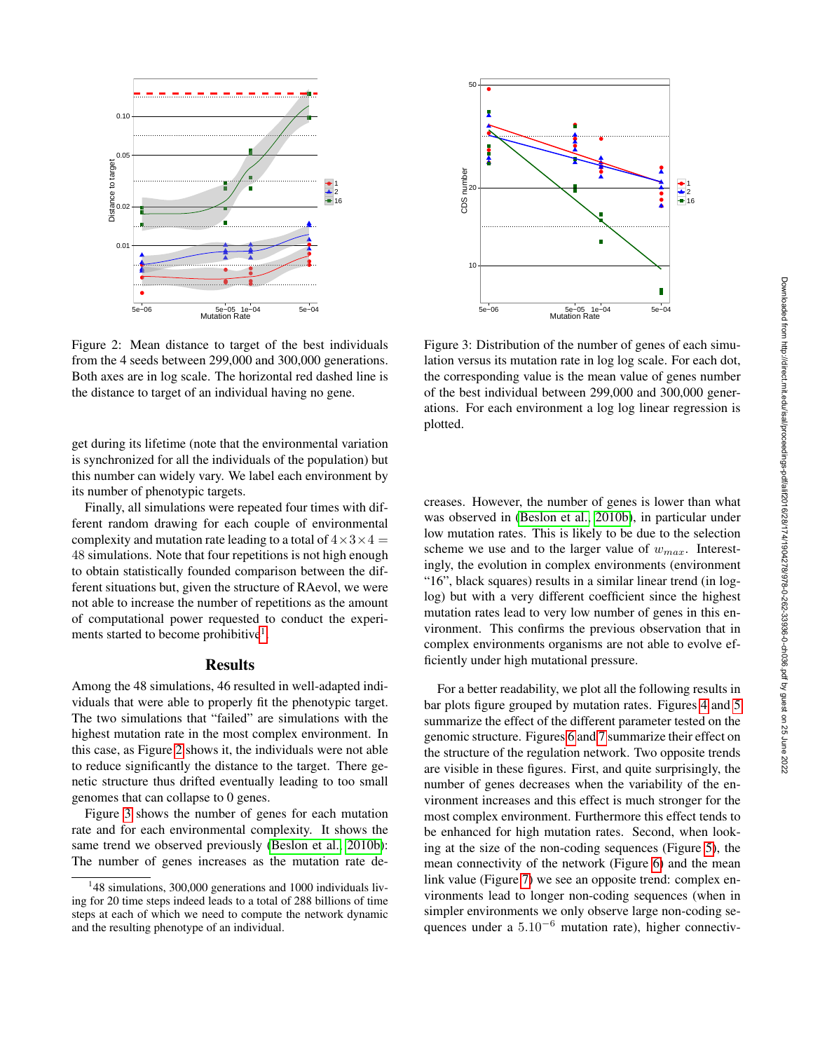<span id="page-3-1"></span>

Figure 2: Mean distance to target of the best individuals from the 4 seeds between 299,000 and 300,000 generations. Both axes are in log scale. The horizontal red dashed line is the distance to target of an individual having no gene.

get during its lifetime (note that the environmental variation is synchronized for all the individuals of the population) but this number can widely vary. We label each environment by its number of phenotypic targets.

Finally, all simulations were repeated four times with different random drawing for each couple of environmental complexity and mutation rate leading to a total of  $4 \times 3 \times 4 =$ 48 simulations. Note that four repetitions is not high enough to obtain statistically founded comparison between the different situations but, given the structure of RAevol, we were not able to increase the number of repetitions as the amount of computational power requested to conduct the experi-ments started to become prohibitive<sup>[1](#page-3-0)</sup>.

#### Results

Among the 48 simulations, 46 resulted in well-adapted individuals that were able to properly fit the phenotypic target. The two simulations that "failed" are simulations with the highest mutation rate in the most complex environment. In this case, as Figure [2](#page-3-1) shows it, the individuals were not able to reduce significantly the distance to the target. There genetic structure thus drifted eventually leading to too small genomes that can collapse to 0 genes.

Figure [3](#page-3-2) shows the number of genes for each mutation rate and for each environmental complexity. It shows the same trend we observed previously [\(Beslon et al., 2010b\)](#page-7-8): The number of genes increases as the mutation rate de-

<span id="page-3-2"></span>

Figure 3: Distribution of the number of genes of each simulation versus its mutation rate in log log scale. For each dot, the corresponding value is the mean value of genes number of the best individual between 299,000 and 300,000 generations. For each environment a log log linear regression is plotted.

creases. However, the number of genes is lower than what was observed in [\(Beslon et al., 2010b\)](#page-7-8), in particular under low mutation rates. This is likely to be due to the selection scheme we use and to the larger value of  $w_{max}$ . Interestingly, the evolution in complex environments (environment "16", black squares) results in a similar linear trend (in loglog) but with a very different coefficient since the highest mutation rates lead to very low number of genes in this environment. This confirms the previous observation that in complex environments organisms are not able to evolve efficiently under high mutational pressure.

For a better readability, we plot all the following results in bar plots figure grouped by mutation rates. Figures [4](#page-4-0) and [5](#page-4-1) summarize the effect of the different parameter tested on the genomic structure. Figures [6](#page-5-0) and [7](#page-5-1) summarize their effect on the structure of the regulation network. Two opposite trends are visible in these figures. First, and quite surprisingly, the number of genes decreases when the variability of the environment increases and this effect is much stronger for the most complex environment. Furthermore this effect tends to be enhanced for high mutation rates. Second, when looking at the size of the non-coding sequences (Figure [5\)](#page-4-1), the mean connectivity of the network (Figure [6\)](#page-5-0) and the mean link value (Figure [7\)](#page-5-1) we see an opposite trend: complex environments lead to longer non-coding sequences (when in simpler environments we only observe large non-coding sequences under a 5.10<sup>-6</sup> mutation rate), higher connectiv-

<span id="page-3-0"></span><sup>&</sup>lt;sup>1</sup>48 simulations, 300,000 generations and 1000 individuals living for 20 time steps indeed leads to a total of 288 billions of time steps at each of which we need to compute the network dynamic and the resulting phenotype of an individual.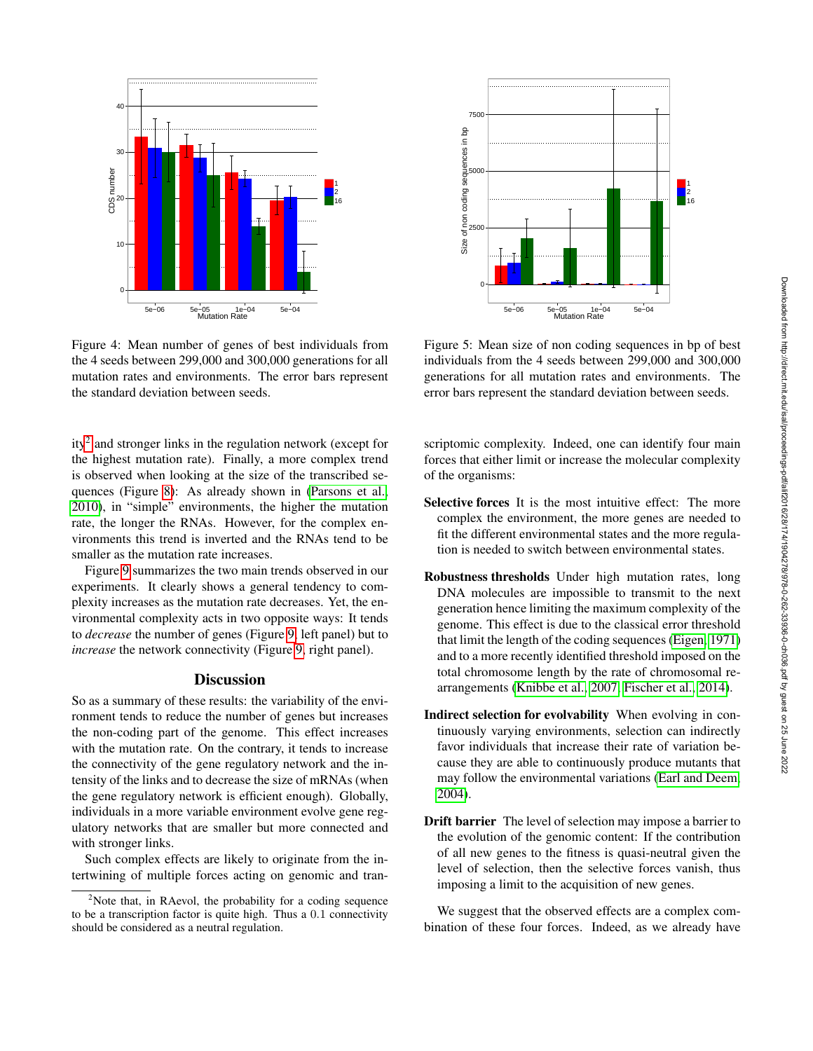<span id="page-4-0"></span>

Figure 4: Mean number of genes of best individuals from the 4 seeds between 299,000 and 300,000 generations for all mutation rates and environments. The error bars represent the standard deviation between seeds.

ity<sup>[2](#page-4-2)</sup> and stronger links in the regulation network (except for the highest mutation rate). Finally, a more complex trend is observed when looking at the size of the transcribed sequences (Figure [8\)](#page-6-1): As already shown in [\(Parsons et al.,](#page-7-13) [2010\)](#page-7-13), in "simple" environments, the higher the mutation rate, the longer the RNAs. However, for the complex environments this trend is inverted and the RNAs tend to be smaller as the mutation rate increases.

Figure [9](#page-7-16) summarizes the two main trends observed in our experiments. It clearly shows a general tendency to complexity increases as the mutation rate decreases. Yet, the environmental complexity acts in two opposite ways: It tends to *decrease* the number of genes (Figure [9,](#page-7-16) left panel) but to *increase* the network connectivity (Figure [9,](#page-7-16) right panel).

## **Discussion**

So as a summary of these results: the variability of the environment tends to reduce the number of genes but increases the non-coding part of the genome. This effect increases with the mutation rate. On the contrary, it tends to increase the connectivity of the gene regulatory network and the intensity of the links and to decrease the size of mRNAs (when the gene regulatory network is efficient enough). Globally, individuals in a more variable environment evolve gene regulatory networks that are smaller but more connected and with stronger links.

Such complex effects are likely to originate from the intertwining of multiple forces acting on genomic and tran-

<span id="page-4-1"></span>

Figure 5: Mean size of non coding sequences in bp of best individuals from the 4 seeds between 299,000 and 300,000 generations for all mutation rates and environments. The error bars represent the standard deviation between seeds.

scriptomic complexity. Indeed, one can identify four main forces that either limit or increase the molecular complexity of the organisms:

- Selective forces It is the most intuitive effect: The more complex the environment, the more genes are needed to fit the different environmental states and the more regulation is needed to switch between environmental states.
- Robustness thresholds Under high mutation rates, long DNA molecules are impossible to transmit to the next generation hence limiting the maximum complexity of the genome. This effect is due to the classical error threshold that limit the length of the coding sequences [\(Eigen, 1971\)](#page-7-17) and to a more recently identified threshold imposed on the total chromosome length by the rate of chromosomal rearrangements [\(Knibbe et al., 2007;](#page-7-11) [Fischer et al., 2014\)](#page-7-18).
- Indirect selection for evolvability When evolving in continuously varying environments, selection can indirectly favor individuals that increase their rate of variation because they are able to continuously produce mutants that may follow the environmental variations [\(Earl and Deem,](#page-7-19) [2004\)](#page-7-19).
- Drift barrier The level of selection may impose a barrier to the evolution of the genomic content: If the contribution of all new genes to the fitness is quasi-neutral given the level of selection, then the selective forces vanish, thus imposing a limit to the acquisition of new genes.

We suggest that the observed effects are a complex combination of these four forces. Indeed, as we already have

<span id="page-4-2"></span><sup>&</sup>lt;sup>2</sup>Note that, in RAevol, the probability for a coding sequence to be a transcription factor is quite high. Thus a 0.1 connectivity should be considered as a neutral regulation.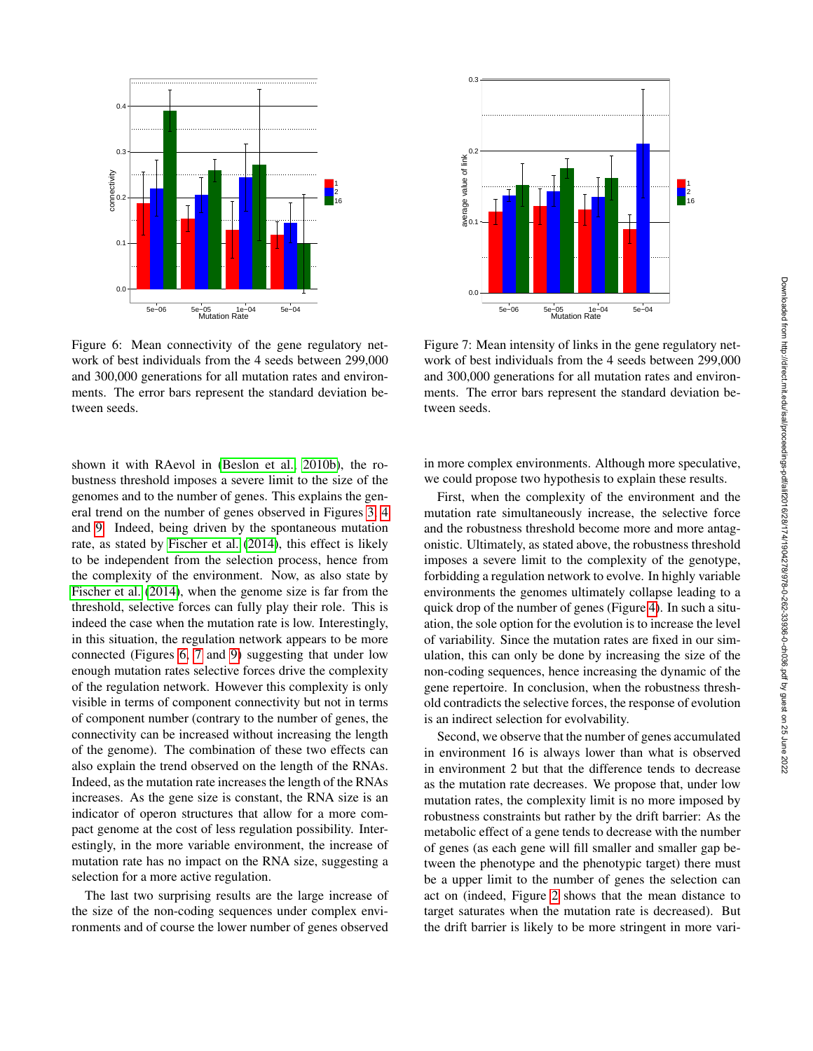<span id="page-5-0"></span>

Figure 6: Mean connectivity of the gene regulatory network of best individuals from the 4 seeds between 299,000 and 300,000 generations for all mutation rates and environments. The error bars represent the standard deviation between seeds.

shown it with RAevol in [\(Beslon et al., 2010b\)](#page-7-8), the robustness threshold imposes a severe limit to the size of the genomes and to the number of genes. This explains the general trend on the number of genes observed in Figures [3,](#page-3-2) [4](#page-4-0) and [9.](#page-7-16) Indeed, being driven by the spontaneous mutation rate, as stated by [Fischer et al.](#page-7-18) [\(2014\)](#page-7-18), this effect is likely to be independent from the selection process, hence from the complexity of the environment. Now, as also state by [Fischer et al.](#page-7-18) [\(2014\)](#page-7-18), when the genome size is far from the threshold, selective forces can fully play their role. This is indeed the case when the mutation rate is low. Interestingly, in this situation, the regulation network appears to be more connected (Figures [6,](#page-5-0) [7](#page-5-1) and [9\)](#page-7-16) suggesting that under low enough mutation rates selective forces drive the complexity of the regulation network. However this complexity is only visible in terms of component connectivity but not in terms of component number (contrary to the number of genes, the connectivity can be increased without increasing the length of the genome). The combination of these two effects can also explain the trend observed on the length of the RNAs. Indeed, as the mutation rate increases the length of the RNAs increases. As the gene size is constant, the RNA size is an indicator of operon structures that allow for a more compact genome at the cost of less regulation possibility. Interestingly, in the more variable environment, the increase of mutation rate has no impact on the RNA size, suggesting a selection for a more active regulation.

The last two surprising results are the large increase of the size of the non-coding sequences under complex environments and of course the lower number of genes observed

<span id="page-5-1"></span>

Figure 7: Mean intensity of links in the gene regulatory network of best individuals from the 4 seeds between 299,000 and 300,000 generations for all mutation rates and environments. The error bars represent the standard deviation between seeds.

in more complex environments. Although more speculative, we could propose two hypothesis to explain these results.

First, when the complexity of the environment and the mutation rate simultaneously increase, the selective force and the robustness threshold become more and more antagonistic. Ultimately, as stated above, the robustness threshold imposes a severe limit to the complexity of the genotype, forbidding a regulation network to evolve. In highly variable environments the genomes ultimately collapse leading to a quick drop of the number of genes (Figure [4\)](#page-4-0). In such a situation, the sole option for the evolution is to increase the level of variability. Since the mutation rates are fixed in our simulation, this can only be done by increasing the size of the non-coding sequences, hence increasing the dynamic of the gene repertoire. In conclusion, when the robustness threshold contradicts the selective forces, the response of evolution is an indirect selection for evolvability.

Second, we observe that the number of genes accumulated in environment 16 is always lower than what is observed in environment 2 but that the difference tends to decrease as the mutation rate decreases. We propose that, under low mutation rates, the complexity limit is no more imposed by robustness constraints but rather by the drift barrier: As the metabolic effect of a gene tends to decrease with the number of genes (as each gene will fill smaller and smaller gap between the phenotype and the phenotypic target) there must be a upper limit to the number of genes the selection can act on (indeed, Figure [2](#page-3-1) shows that the mean distance to target saturates when the mutation rate is decreased). But the drift barrier is likely to be more stringent in more vari-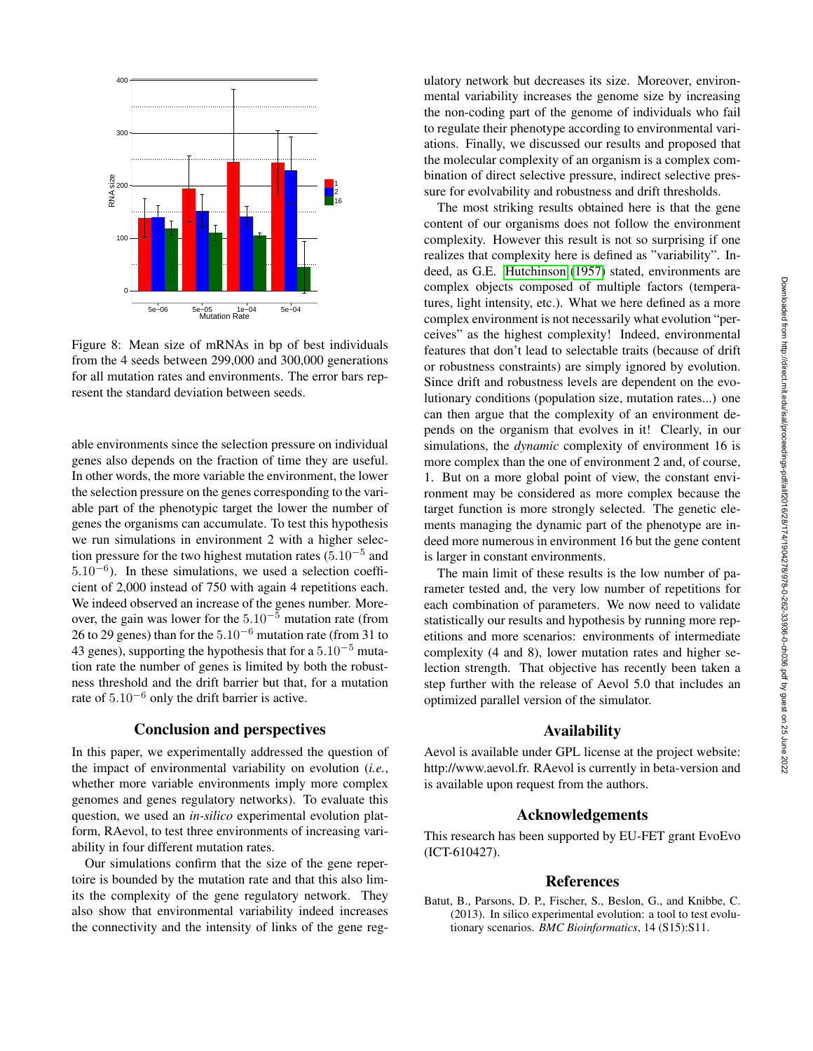<span id="page-6-1"></span>

Figure 8: Mean size of mRNAs in bp of best individuals from the 4 seeds between 299,000 and 300,000 generations for all mutation rates and environments. The error bars represent the standard deviation between seeds.

able environments since the selection pressure on individual genes also depends on the fraction of time they are useful. In other words, the more variable the environment, the lower the selection pressure on the genes corresponding to the variable part of the phenotypic target the lower the number of genes the organisms can accumulate. To test this hypothesis we run simulations in environment 2 with a higher selection pressure for the two highest mutation rates  $(5.10^{-5}$  and 5.10<sup>−</sup><sup>6</sup> ). In these simulations, we used a selection coefficient of 2,000 instead of 750 with again 4 repetitions each. We indeed observed an increase of the genes number. Moreover, the gain was lower for the  $5.10^{-5}$  mutation rate (from 26 to 29 genes) than for the  $5.10^{-6}$  mutation rate (from 31 to 43 genes), supporting the hypothesis that for a  $5.10^{-5}$  mutation rate the number of genes is limited by both the robustness threshold and the drift barrier but that, for a mutation rate of 5.10<sup>−</sup><sup>6</sup> only the drift barrier is active.

## Conclusion and perspectives

In this paper, we experimentally addressed the question of the impact of environmental variability on evolution (*i.e.*, whether more variable environments imply more complex genomes and genes regulatory networks). To evaluate this question, we used an *in-silico* experimental evolution platform, RAevol, to test three environments of increasing variability in four different mutation rates.

Our simulations confirm that the size of the gene repertoire is bounded by the mutation rate and that this also limits the complexity of the gene regulatory network. They also show that environmental variability indeed increases the connectivity and the intensity of links of the gene regulatory network but decreases its size. Moreover, environmental variability increases the genome size by increasing the non-coding part of the genome of individuals who fail to regulate their phenotype according to environmental variations. Finally, we discussed our results and proposed that the molecular complexity of an organism is a complex combination of direct selective pressure, indirect selective pressure for evolvability and robustness and drift thresholds.

The most striking results obtained here is that the gene content of our organisms does not follow the environment complexity. However this result is not so surprising if one realizes that complexity here is defined as "variability". Indeed, as G.E. [Hutchinson](#page-7-20) [\(1957\)](#page-7-20) stated, environments are complex objects composed of multiple factors (temperatures, light intensity, etc.). What we here defined as a more complex environment is not necessarily what evolution "perceives" as the highest complexity! Indeed, environmental features that don't lead to selectable traits (because of drift or robustness constraints) are simply ignored by evolution. Since drift and robustness levels are dependent on the evolutionary conditions (population size, mutation rates...) one can then argue that the complexity of an environment depends on the organism that evolves in it! Clearly, in our simulations, the *dynamic* complexity of environment 16 is more complex than the one of environment 2 and, of course, 1. But on a more global point of view, the constant environment may be considered as more complex because the target function is more strongly selected. The genetic elements managing the dynamic part of the phenotype are indeed more numerous in environment 16 but the gene content is larger in constant environments.

The main limit of these results is the low number of parameter tested and, the very low number of repetitions for each combination of parameters. We now need to validate statistically our results and hypothesis by running more repetitions and more scenarios: environments of intermediate complexity (4 and 8), lower mutation rates and higher selection strength. That objective has recently been taken a step further with the release of Aevol 5.0 that includes an optimized parallel version of the simulator.

### Availability

Aevol is available under GPL license at the project website: http://www.aevol.fr. RAevol is currently in beta-version and is available upon request from the authors.

#### Acknowledgements

This research has been supported by EU-FET grant EvoEvo (ICT-610427).

#### References

<span id="page-6-0"></span>Batut, B., Parsons, D. P., Fischer, S., Beslon, G., and Knibbe, C. (2013). In silico experimental evolution: a tool to test evolutionary scenarios. *BMC Bioinformatics*, 14 (S15):S11.